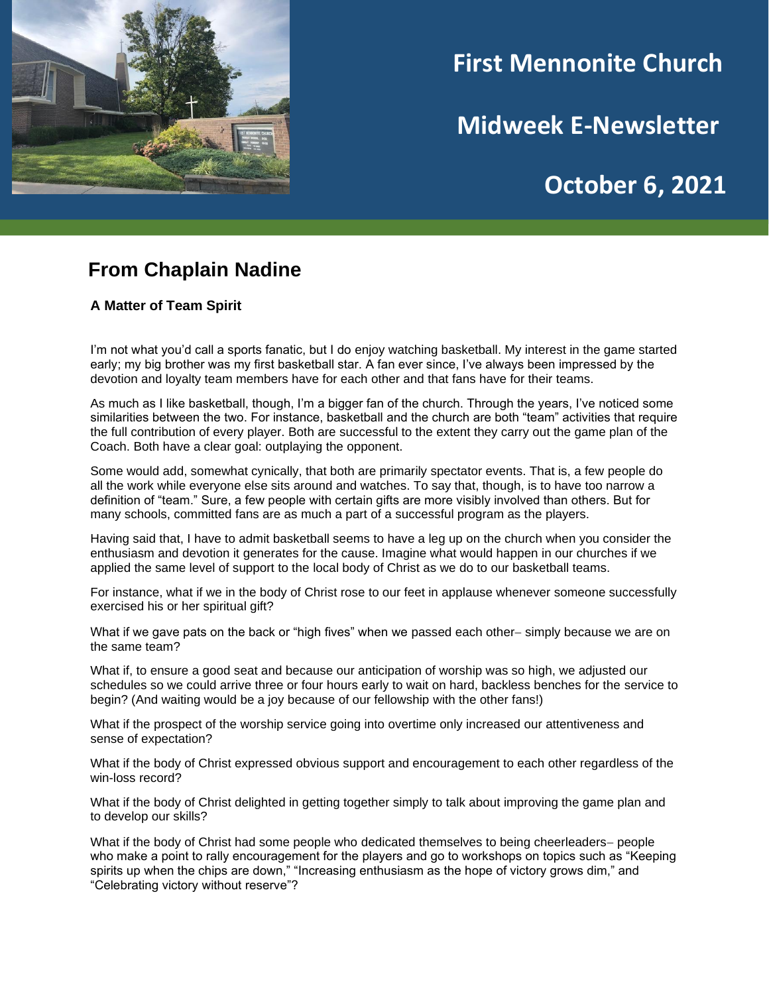

# **First Mennonite Church**

**Midweek E-Newsletter**

# **October 6, 2021**

**202120212021**

#### **From Chaplain Nadine**

**A Matter of Team Spirit**

I'm not what you'd call a sports fanatic, but I do enjoy watching basketball. My interest in the game started early; my big brother was my first basketball star. A fan ever since, I've always been impressed by the devotion and loyalty team members have for each other and that fans have for their teams.

As much as I like basketball, though, I'm a bigger fan of the church. Through the years, I've noticed some similarities between the two. For instance, basketball and the church are both "team" activities that require the full contribution of every player. Both are successful to the extent they carry out the game plan of the Coach. Both have a clear goal: outplaying the opponent.

Some would add, somewhat cynically, that both are primarily spectator events. That is, a few people do all the work while everyone else sits around and watches. To say that, though, is to have too narrow a definition of "team." Sure, a few people with certain gifts are more visibly involved than others. But for many schools, committed fans are as much a part of a successful program as the players.

Having said that, I have to admit basketball seems to have a leg up on the church when you consider the enthusiasm and devotion it generates for the cause. Imagine what would happen in our churches if we applied the same level of support to the local body of Christ as we do to our basketball teams.

For instance, what if we in the body of Christ rose to our feet in applause whenever someone successfully exercised his or her spiritual gift?

What if we gave pats on the back or "high fives" when we passed each other− simply because we are on the same team?

What if, to ensure a good seat and because our anticipation of worship was so high, we adjusted our schedules so we could arrive three or four hours early to wait on hard, backless benches for the service to begin? (And waiting would be a joy because of our fellowship with the other fans!)

What if the prospect of the worship service going into overtime only increased our attentiveness and sense of expectation?

What if the body of Christ expressed obvious support and encouragement to each other regardless of the win-loss record?

What if the body of Christ delighted in getting together simply to talk about improving the game plan and to develop our skills?

What if the body of Christ had some people who dedicated themselves to being cheerleaders− people who make a point to rally encouragement for the players and go to workshops on topics such as "Keeping spirits up when the chips are down," "Increasing enthusiasm as the hope of victory grows dim," and "Celebrating victory without reserve"?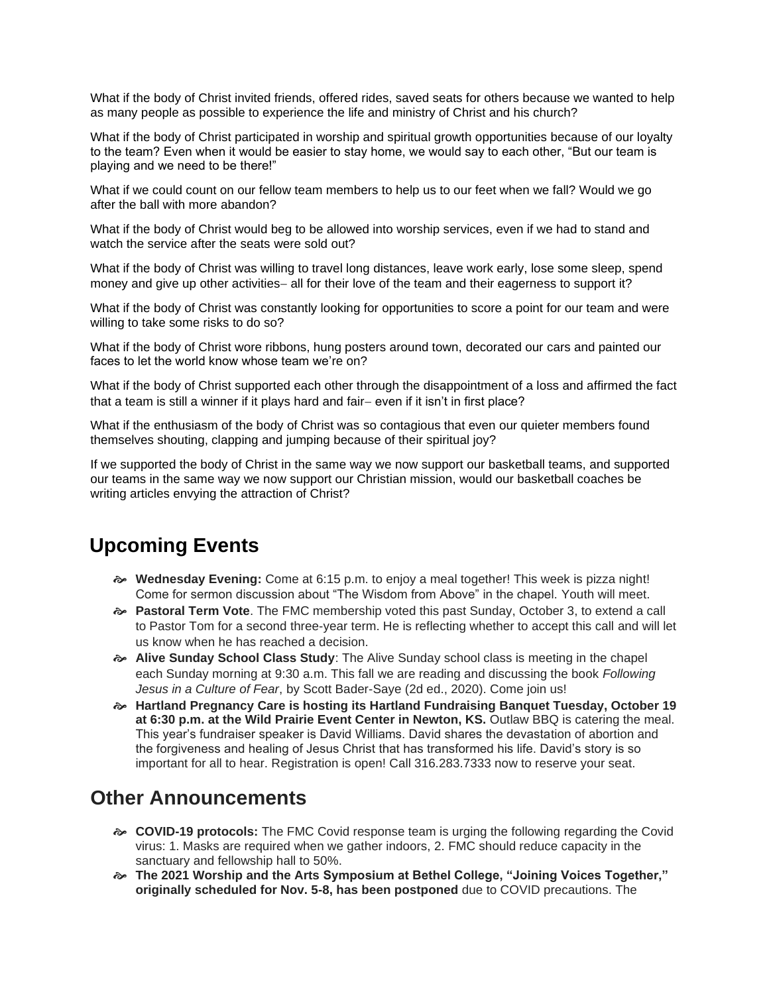What if the body of Christ invited friends, offered rides, saved seats for others because we wanted to help as many people as possible to experience the life and ministry of Christ and his church?

What if the body of Christ participated in worship and spiritual growth opportunities because of our loyalty to the team? Even when it would be easier to stay home, we would say to each other, "But our team is playing and we need to be there!"

What if we could count on our fellow team members to help us to our feet when we fall? Would we go after the ball with more abandon?

What if the body of Christ would beg to be allowed into worship services, even if we had to stand and watch the service after the seats were sold out?

What if the body of Christ was willing to travel long distances, leave work early, lose some sleep, spend money and give up other activities− all for their love of the team and their eagerness to support it?

What if the body of Christ was constantly looking for opportunities to score a point for our team and were willing to take some risks to do so?

What if the body of Christ wore ribbons, hung posters around town, decorated our cars and painted our faces to let the world know whose team we're on?

What if the body of Christ supported each other through the disappointment of a loss and affirmed the fact that a team is still a winner if it plays hard and fair− even if it isn't in first place?

What if the enthusiasm of the body of Christ was so contagious that even our quieter members found themselves shouting, clapping and jumping because of their spiritual joy?

If we supported the body of Christ in the same way we now support our basketball teams, and supported our teams in the same way we now support our Christian mission, would our basketball coaches be writing articles envying the attraction of Christ?

### **Upcoming Events**

- **Wednesday Evening:** Come at 6:15 p.m. to enjoy a meal together! This week is pizza night! Come for sermon discussion about "The Wisdom from Above" in the chapel. Youth will meet.
- **Pastoral Term Vote**. The FMC membership voted this past Sunday, October 3, to extend a call to Pastor Tom for a second three-year term. He is reflecting whether to accept this call and will let us know when he has reached a decision.
- **Alive Sunday School Class Study**: The Alive Sunday school class is meeting in the chapel each Sunday morning at 9:30 a.m. This fall we are reading and discussing the book *Following Jesus in a Culture of Fear*, by Scott Bader-Saye (2d ed., 2020). Come join us!
- **Hartland Pregnancy Care is hosting its Hartland Fundraising Banquet Tuesday, October 19 at 6:30 p.m. at the Wild Prairie Event Center in Newton, KS.** Outlaw BBQ is catering the meal. This year's fundraiser speaker is David Williams. David shares the devastation of abortion and the forgiveness and healing of Jesus Christ that has transformed his life. David's story is so important for all to hear. Registration is open! Call 316.283.7333 now to reserve your seat.

### **Other Announcements**

- **COVID-19 protocols:** The FMC Covid response team is urging the following regarding the Covid virus: 1. Masks are required when we gather indoors, 2. FMC should reduce capacity in the sanctuary and fellowship hall to 50%.
- **The 2021 Worship and the Arts Symposium at Bethel College, "Joining Voices Together," originally scheduled for Nov. 5-8, has been postponed** due to COVID precautions. The